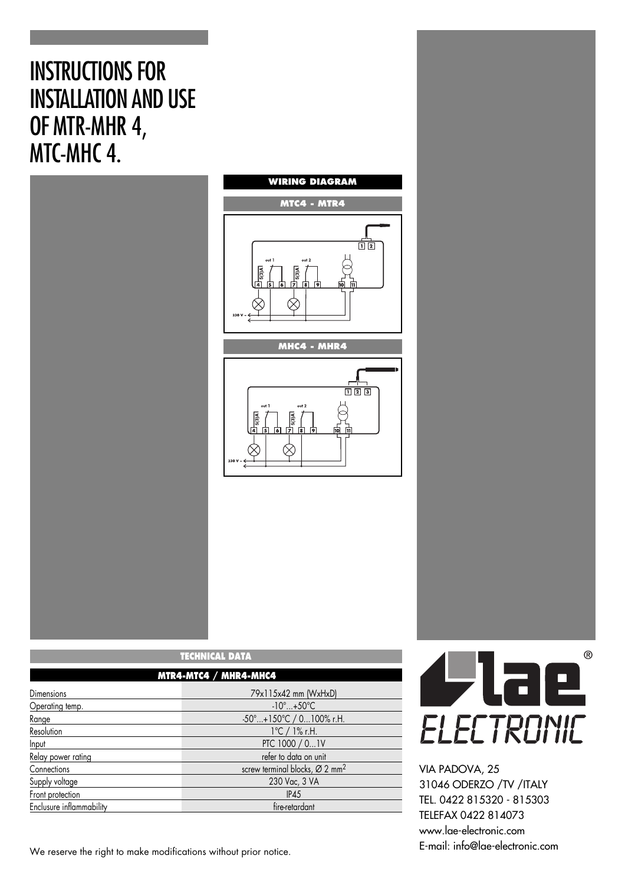# INSTRUCTIONS FOR INSTALLATION AND USE OF MTR-MHR 4, MTC-MHC 4.





| TECHNICAL DATA<br>MTR4-MTC4 / MHR4-MHC4 |                                                        |
|-----------------------------------------|--------------------------------------------------------|
|                                         |                                                        |
| Operating temp.                         | $-10^{\circ}$ +50 $^{\circ}$ C                         |
| Range                                   | -50°+150°C / 0100% r.H.                                |
| Resolution                              | $1^{\circ}$ C / 1% r.H.                                |
| Input                                   | PTC 1000 / 01V                                         |
| Relay power rating                      | refer to data on unit                                  |
| Connections                             | screw terminal blocks, $\varnothing$ 2 mm <sup>2</sup> |
| Supply voltage                          | 230 Vac, 3 VA                                          |
| Front protection                        | IP45                                                   |
| Enclusure inflammability                | fire-retardant                                         |

We reserve the right to make modifications without prior notice.

 $^{\circ}$ Wae ELECTRONIC

VIA PADOVA, 25 31046 ODERZO /TV /ITALY TEL. 0422 815320 - 815303 TELEFAX 0422 814073 www.lae-electronic.com E-mail: info@lae-electronic.com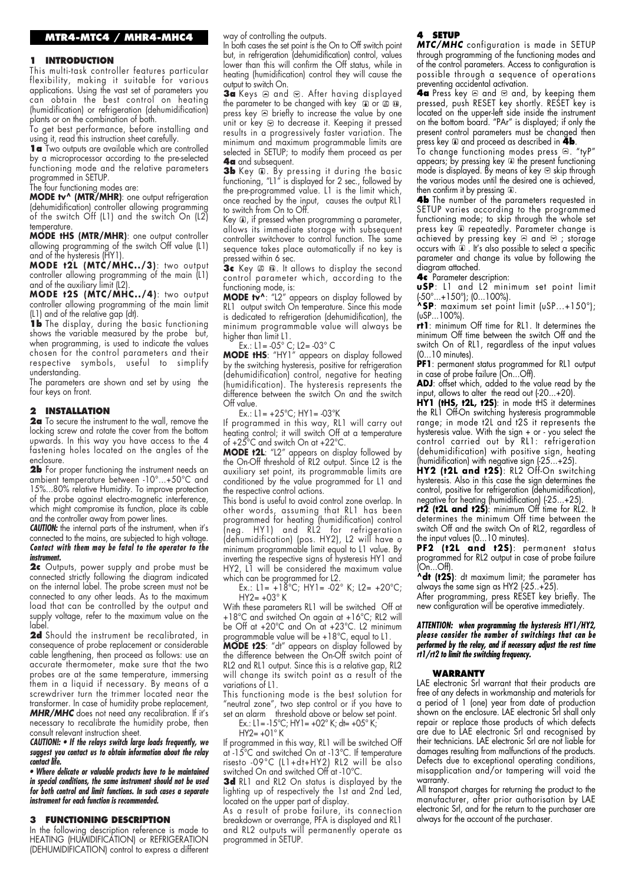#### **1 INTRODUCTION**

This multi-task controller features particular flexibility, making it suitable for various applications. Using the vast set of parameters you can obtain the best control on heating (humidification) or refrigeration (dehumidification) plants or on the combination of both.

To get best performance, before installing and using it, read this instruction sheet carefully.

1 a Two outputs are available which are controlled by a microprocessor according to the pre-selected functioning mode and the relative parameters programmed in SETUP.

The four functioning modes are:

**MODE tv^ (MTR/MHR)**: one output refrigeration (dehumidification) controller allowing programming of the switch Off (L1) and the switch On (L2) temperature.

**MODE tHS (MTR/MHR)**: one output controller allowing programming of the switch Off value (L1) and of the hysteresis (HY1).

**MODE t2L (MTC/MHC../3)**: two output controller allowing programming of the main (L1) and of the auxiliary limit (L2).

**MODE t2S (MTC/MHC../4)**: two output controller allowing programming of the main limit (L1) and of the relative gap (dt).

**1b** The display, during the basic functioning shows the variable measured by the probe but, when programming, is used to indicate the values chosen for the control parameters and their respective symbols, useful to simplify understanding.

The parameters are shown and set by using the four keys on front.

### **2 INSTALLATION**

**2a** To secure the instrument to the wall, remove the locking screw and rotate the cover from the bottom upwards. In this way you have access to the 4 fastening holes located on the angles of the enclosure.

**2b** For proper functioning the instrument needs an ambient temperature between -10°...+50°C and 15%...80% relative Humidity. To improve protection of the probe against electro-magnetic interference, which might compromise its function, place its cable and the controller away from power lines.

**CAUTION:** the internal parts of the instrument, when it's connected to the mains, are subjected to high voltage. *Contact with them may be fatal to the operator to the instrument.*

**2c** Outputs, power supply and probe must be connected strictly following the diagram indicated on the internal label. The probe screen must not be connected to any other leads. As to the maximum load that can be controlled by the output and supply voltage, refer to the maximum value on the label.

**2d** Should the instrument be recalibrated, in consequence of probe replacement or considerable cable lengthening, then proceed as follows: use an accurate thermometer, make sure that the two probes are at the same temperature, immersing them in a liquid if necessary. By means of a screwdriver turn the trimmer located near the transformer. In case of humidity probe replacement, *MHR/MHC* does not need any recalibration. If it's necessary to recalibrate the humidity probe, then

consult relevant instruction sheet. *CAUTION!: • If the relays switch large loads frequently, we suggest you contact us to obtain information about the relay*

*contact life. • Where delicate or valuable products have to be maintained in special conditions, the same instrument should not be used for both control and limit functions. In such cases a separate instrument for each function is recommended.*

#### **3 FUNCTIONING DESCRIPTION**

In the following description reference is made to HEATING (HUMIDIFICATION) or REFRIGERATION (DEHUMIDIFICATION) control to express a different way of controlling the outputs.

In both cases the set point is the On to Off switch point but, in refrigeration (dehumidification) control, values lower than this will confirm the Off status, while in heating (humidification) control they will cause the output to switch On.

3a Keys a and  $\Theta$ . After having displayed the parameter to be changed with key ① or ② ④, press key  $\triangle$  briefly to increase the value by one unit or key  $\Theta$  to decrease it. Keeping it pressed results in a progressively faster variation. The minimum and maximum programmable limits are selected in SETUP; to modify them proceed as per **4a** and subsequent.

**3b** Key . By pressing it during the basic functioning, "L1" is displayed for 2 sec., followed by the pre-programmed value. L1 is the limit which, once reached by the input, causes the output RL1 to switch from On to Off.

Key  $\mathbf I$ , if pressed when programming a parameter, allows its immediate storage with subsequent controller switchover to control function. The same sequence takes place automatically if no key is pressed within 6 sec.

**3c** Key @ @. It allows to display the second control parameter which, according to the functioning mode, is:

**MODE tv^**: "L2" appears on display followed by RL1 output switch On temperature. Since this mode is dedicated to refrigeration (dehumidification), the minimum programmable value will always be higher than limit L1.

Ex.: L1= -05° C; L2= -03° C

**MODE tHS**: "HY1" appears on display followed by the switching hysteresis, positive for refrigeration (dehumidification) control, negative for heating (humidification). The hysteresis represents the difference between the switch On and the switch Off value.

Ex.: L1= +25°C; HY1= -03°K

If programmed in this way, RL1 will carry out heating control; it will switch Off at a temperature of +25°C and switch On at +22°C.

**MODE t2L**: "L2" appears on display followed by the On-Off threshold of RL2 output. Since L2 is the auxiliary set point, its programmable limits are conditioned by the value programmed for L1 and the respective control actions.

This bond is useful to avoid control zone overlap. In other words, assuming that RL1 has been programmed for heating (humidification) control (neg. HY1) and RL2 for refrigeration (dehumidification) (pos. HY2), L2 will have a minimum programmable limit equal to L1 value. By inverting the respective signs of hysteresis HY1 and HY2, L1 will be considered the maximum value which can be programmed for L2.

Ex.: L1= +18°C; HY1= -02° K; L2= +20°C;  $HY2= +03^{\circ} K$ 

With these parameters RL1 will be switched Off at +18°C and switched On again at +16°C; RL2 will be Off at +20°C and On at +23°C. L2 minimum programmable value will be +18°C, equal to L1.

**MODE t2S**: "dt" appears on display followed by the difference between the On-Off switch point of RL2 and RL1 output. Since this is a relative gap, RL2 will change its switch point as a result of the variations of L1.

This functioning mode is the best solution for "neutral zone", two step control or if you have to set an alarm threshold above or below set point.

Ex.:  $L1 = -15^{\circ}C$ ;  $HY1 = +02^{\circ} K$ ;  $dt = +05^{\circ} K$ ;

 $HY2 = +01° K$ 

If programmed in this way, RL1 will be switched Off at -15°C and switched On at -13°C. If temperature risesto -09°C (L1+dt+HY2) RL2 will be also switched On and switched Off at -10°C.

**3d** RL1 and RL2 On status is displayed by the lighting up of respectively the 1st and 2nd Led, located on the upper part of display.

As a result of probe failure, its connection breakdown or overrange, PFA is displayed and RL1 and RL2 outputs will permanently operate as programmed in SETUP.

## **4 SETUP**

*MTC/MHC* configuration is made in SETUP through programming of the functioning modes and of the control parameters. Access to configuration is possible through a sequence of operations preventing accidental activation.

**4a** Press key <sup>a</sup> and <sup>□</sup> and, by keeping them pressed, push RESET key shortly. RESET key is located on the upper-left side inside the instrument on the bottom board. "PAr" is displayed; if only the present control parameters must be changed then press key **a** and proceed as described in **4b**.

To change tunctioning modes press  $\boxtimes$ . "tyP" appears; by pressing key  $\textcolor{blue}{\bullet}$  the present functioning mode is displayed. By means of key  $\Theta$  skip through the various modes until the desired one is achieved, then confirm it by pressing  $\mathbb{D}$ .

**4b** The number of the parameters requested in SETUP varies according to the programmed functioning mode; to skip through the whole set press key ® repeatedly. Parameter change is achieved by pressing key  $\mathbin{\vartriangle}$  and  $\mathbin{\vartriangle}$  ; storage occurs with . It's also possible to select a specific parameter and change its value by following the diagram attached.

**4c** Parameter description:

**uSP**: L1 and L2 minimum set point limit (-50°...+150°); (0...100%).

**^SP**: maximum set point limit (uSP...+150°); (uSP...100%).

**rt1**: minimum Off time for RL1. It determines the minimum Off time between the switch Off and the switch On of RL1, regardless of the input values (0...10 minutes).

**PF1**: permanent status programmed for RL1 output in case of probe failure (On...Off).

ADJ: offset which, added to the value read by the input, allows to alter the read out  $(-20...+20)$ .

HY1 (tHS, t2L, t2S): in mode tHS it determines the RL1 Off-On switching hysteresis programmable range; in mode t2L and t2S it represents the hysteresis value. With the sign + or - you select the control carried out by RL1: refrigeration (dehumidification) with positive sign, heating (humidification) with negative sign (-25...+25).

**HY2 (t2L and t2S)**: RL2 Off-On switching hysteresis. Also in this case the sign determines the control, positive for refrigeration (dehumidification), negative for heating (humidification) (-25...+25).

**rt2 (t2L and t2S)**: minimum Off time for RL2. It determines the minimum Off time between the switch Off and the switch On of RL2, regardless of the input values (0...10 minutes).

**PF2 (t2L and t2S)**: permanent status programmed for RL2 output in case of probe failure (On...Off).

**^dt (t2S)**: dt maximum limit; the parameter has always the same sign as HY2  $(-25..+25)$ .

After programming, press RESET key briefly. The new configuration will be operative immediately.

#### *ATTENTION: when programming the hysteresis HY1/HY2, please consider the number of switchings that can be performed by the relay, and if necessary adjust the rest time rt1/rt2 to limit the switching frequency.*

#### **WARRANTY**

LAE electronic Srl warrant that their products are free of any defects in workmanship and materials for a period of 1 (one) year from date of production shown on the enclosure. LAE electronic Srl shall only repair or replace those products of which defects are due to LAE electronic Srl and recognised by their technicians. LAE electronic Srl are not liable for damages resulting from malfunctions of the products. Defects due to exceptional operating conditions, misapplication and/or tampering will void the warranty.

All transport charges for returning the product to the manufacturer, after prior authorisation by LAE electronic Srl, and for the return to the purchaser are always for the account of the purchaser.